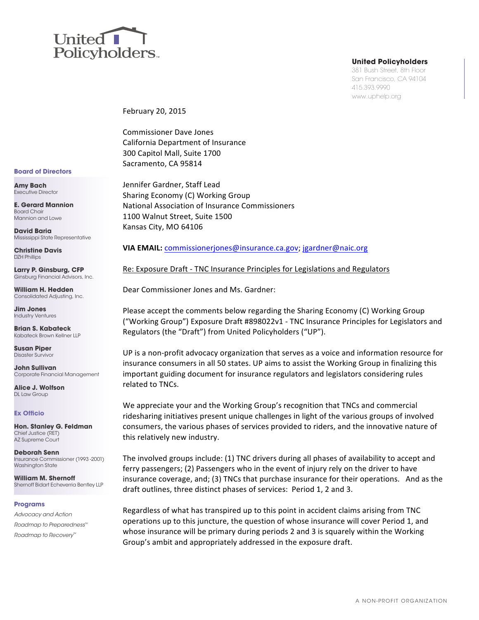

### **United Policyholders**

381 Bush Street, 8th Floor San Francisco, CA 94104 415.393.9990 www.uphelp.org

February 20, 2015

Commissioner Dave Jones California Department of Insurance 300 Capitol Mall, Suite 1700 Sacramento, CA 95814

Jennifer Gardner, Staff Lead Sharing Economy (C) Working Group National Association of Insurance Commissioners 1100 Walnut Street, Suite 1500 Kansas City, MO 64106

### **VIA EMAIL:** commissionerjones@insurance.ca.gov; jgardner@naic.org

Re: Exposure Draft - TNC Insurance Principles for Legislations and Regulators

Dear Commissioner Jones and Ms. Gardner:

Please accept the comments below regarding the Sharing Economy (C) Working Group ("Working Group") Exposure Draft #898022v1 - TNC Insurance Principles for Legislators and Regulators (the "Draft") from United Policyholders ("UP").

UP is a non-profit advocacy organization that serves as a voice and information resource for insurance consumers in all 50 states. UP aims to assist the Working Group in finalizing this important guiding document for insurance regulators and legislators considering rules related to TNCs.

We appreciate your and the Working Group's recognition that TNCs and commercial ridesharing initiatives present unique challenges in light of the various groups of involved consumers, the various phases of services provided to riders, and the innovative nature of this relatively new industry.

The involved groups include:  $(1)$  TNC drivers during all phases of availability to accept and ferry passengers; (2) Passengers who in the event of injury rely on the driver to have insurance coverage, and; (3) TNCs that purchase insurance for their operations. And as the draft outlines, three distinct phases of services: Period 1, 2 and 3.

Regardless of what has transpired up to this point in accident claims arising from TNC operations up to this juncture, the question of whose insurance will cover Period 1, and whose insurance will be primary during periods 2 and 3 is squarely within the Working Group's ambit and appropriately addressed in the exposure draft.

#### **Board of Directors**

**Amy Bach** Executive Director

**E. Gerard Mannion** Board Chair Mannion and Lowe

**David Baria** Mississippi State Representative

**Christine Davis** DZH Phillips

**Larry P. Ginsburg, CFP** Ginsburg Financial Advisors, Inc.

**William H. Hedden**  Consolidated Adjusting, Inc.

**Jim Jones** Industry Ventures

**Brian S. Kabateck** Kabateck Brown Kellner LLP

**Susan Piper** Disaster Survivor

**John Sullivan** Corporate Financial Management

**Alice J. Wolfson** DL Law Group

### **Ex Officio**

**Hon. Stanley G. Feldman** Chief Justice (RET) AZ Supreme Court

**Deborah Senn** Insurance Commissioner (1993 -2001) Washinaton State

**William M. Shernoff** Shernoff Bidart Echeverria Bentley LLP

### **Programs**

Advocacy and Action Roadmap to Preparedness™ Roadmap to Recovery™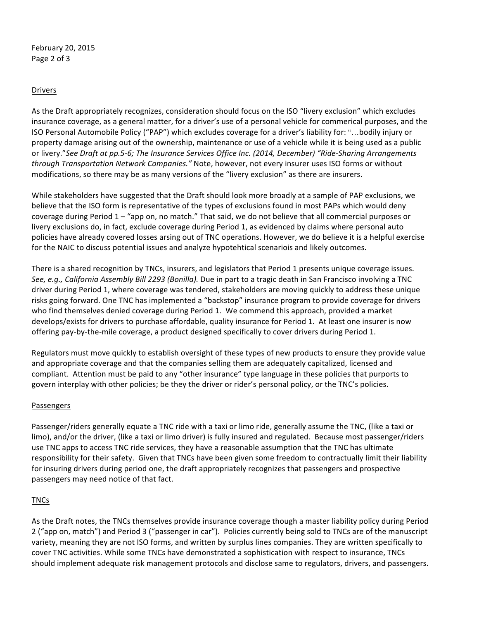February 20, 2015 Page 2 of 3

# Drivers

As the Draft appropriately recognizes, consideration should focus on the ISO "livery exclusion" which excludes insurance coverage, as a general matter, for a driver's use of a personal vehicle for commerical purposes, and the ISO Personal Automobile Policy ("PAP") which excludes coverage for a driver's liability for: "...bodily injury or property damage arising out of the ownership, maintenance or use of a vehicle while it is being used as a public or livery." See Draft at pp.5-6; The Insurance Services Office Inc. (2014, December) "Ride-Sharing Arrangements through Transportation Network Companies." Note, however, not every insurer uses ISO forms or without modifications, so there may be as many versions of the "livery exclusion" as there are insurers.

While stakeholders have suggested that the Draft should look more broadly at a sample of PAP exclusions, we believe that the ISO form is representative of the types of exclusions found in most PAPs which would deny coverage during Period 1 – "app on, no match." That said, we do not believe that all commercial purposes or livery exclusions do, in fact, exclude coverage during Period 1, as evidenced by claims where personal auto policies have already covered losses arsing out of TNC operations. However, we do believe it is a helpful exercise for the NAIC to discuss potential issues and analyze hypotehtical scenariois and likely outcomes.

There is a shared recognition by TNCs, insurers, and legislators that Period 1 presents unique coverage issues. See, e.g., California Assembly Bill 2293 (Bonilla). Due in part to a tragic death in San Francisco involving a TNC driver during Period 1, where coverage was tendered, stakeholders are moving quickly to address these unique risks going forward. One TNC has implemented a "backstop" insurance program to provide coverage for drivers who find themselves denied coverage during Period 1. We commend this approach, provided a market develops/exists for drivers to purchase affordable, quality insurance for Period 1. At least one insurer is now offering pay-by-the-mile coverage, a product designed specifically to cover drivers during Period 1.

Regulators must move quickly to establish oversight of these types of new products to ensure they provide value and appropriate coverage and that the companies selling them are adequately capitalized, licensed and compliant. Attention must be paid to any "other insurance" type language in these policies that purports to govern interplay with other policies; be they the driver or rider's personal policy, or the TNC's policies.

# Passengers

Passenger/riders generally equate a TNC ride with a taxi or limo ride, generally assume the TNC, (like a taxi or limo), and/or the driver, (like a taxi or limo driver) is fully insured and regulated. Because most passenger/riders use TNC apps to access TNC ride services, they have a reasonable assumption that the TNC has ultimate responsibility for their safety. Given that TNCs have been given some freedom to contractually limit their liability for insuring drivers during period one, the draft appropriately recognizes that passengers and prospective passengers may need notice of that fact.

# TNCs

As the Draft notes, the TNCs themselves provide insurance coverage though a master liability policy during Period 2 ("app on, match") and Period 3 ("passenger in car"). Policies currently being sold to TNCs are of the manuscript variety, meaning they are not ISO forms, and written by surplus lines companies. They are written specifically to cover TNC activities. While some TNCs have demonstrated a sophistication with respect to insurance, TNCs should implement adequate risk management protocols and disclose same to regulators, drivers, and passengers.